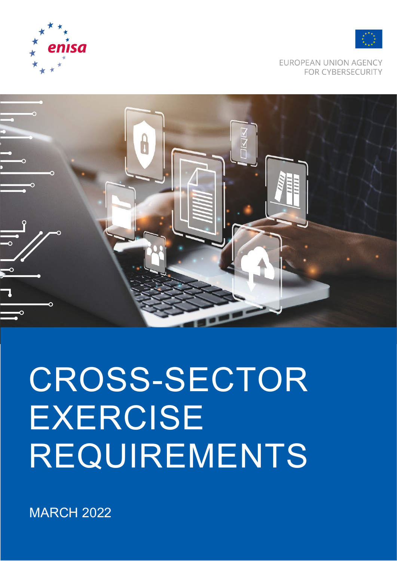

# CROSS-SECTOR EXERCISE REQUIREMENTS







EUROPEAN UNION AGENCY **FOR CYBERSECURITY**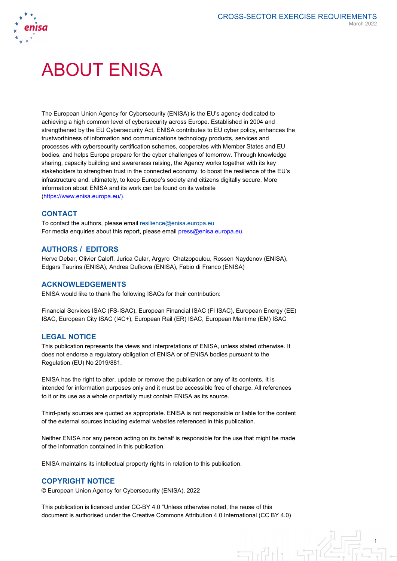

# ABOUT ENISA

The European Union Agency for Cybersecurity (ENISA) is the EU's agency dedicated to achieving a high common level of cybersecurity across Europe. Established in 2004 and strengthened by the EU Cybersecurity Act, ENISA contributes to EU cyber policy, enhances the trustworthiness of information and communications technology products, services and processes with cybersecurity certification schemes, cooperates with Member States and EU bodies, and helps Europe prepare for the cyber challenges of tomorrow. Through knowledge sharing, capacity building and awareness raising, the Agency works together with its key stakeholders to strengthen trust in the connected economy, to boost the resilience of the EU's infrastructure and, ultimately, to keep Europe's society and citizens digitally secure. More information about ENISA and its work can be found on its website [\(https://www.enisa.europa.eu/\)](https://www.enisa.europa.eu/).

### **CONTACT**

To contact the authors, please email [resilience@enisa.europa.eu](mailto:resilience@enisa.europa.eu) For media enquiries about this report, please email [press@enisa.europa.eu.](mailto:press@enisa.europa.eu)

#### **AUTHORS / EDITORS**

Herve Debar, Olivier Caleff, Jurica Cular, Argyro Chatzopoulou, Rossen Naydenov (ENISA), Edgars Taurins (ENISA), Andrea Dufkova (ENISA), Fabio di Franco (ENISA)

#### **ACKNOWLEDGEMENTS**

ENISA would like to thank fhe following ISACs for their contribution:

Financial Services ISAC (FS-ISAC), European Financial ISAC (FI ISAC), European Energy (EE) ISAC, European City ISAC (I4C+), European Rail (ER) ISAC, European Maritime (EM) ISAC

#### **LEGAL NOTICE**

This publication represents the views and interpretations of ENISA, unless stated otherwise. It does not endorse a regulatory obligation of ENISA or of ENISA bodies pursuant to the Regulation (EU) No 2019/881.

ENISA has the right to alter, update or remove the publication or any of its contents. It is intended for information purposes only and it must be accessible free of charge. All references to it or its use as a whole or partially must contain ENISA as its source.

Third-party sources are quoted as appropriate. ENISA is not responsible or liable for the content of the external sources including external websites referenced in this publication.

Neither ENISA nor any person acting on its behalf is responsible for the use that might be made of the information contained in this publication.

ENISA maintains its intellectual property rights in relation to this publication.

#### **COPYRIGHT NOTICE**

© European Union Agency for Cybersecurity (ENISA), 2022

This publication is licenced under CC-BY 4.0 "Unless otherwise noted, the reuse of this document is authorised under the Creative Commons Attribution 4.0 International (CC BY 4.0)

 $\exists \mathbf{u}$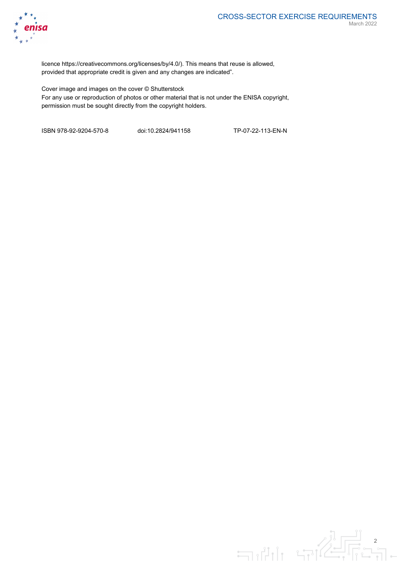

licence https://creativecommons.org/licenses/by/4.0/). This means that reuse is allowed, provided that appropriate credit is given and any changes are indicated".

Cover image and images on the cover © Shutterstock For any use or reproduction of photos or other material that is not under the ENISA copyright, permission must be sought directly from the copyright holders.

ISBN 978-92-9204-570-8 doi:10.2824/941158 TP-07-22-113-EN-N

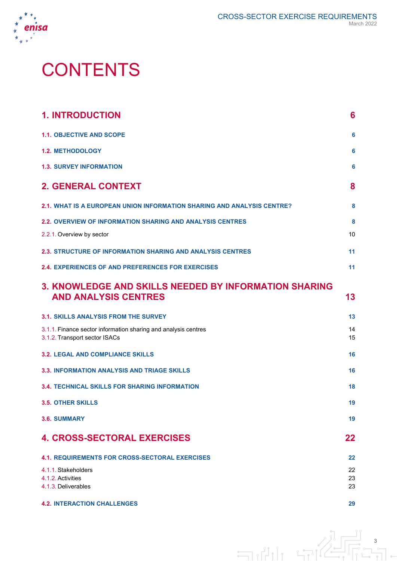

与削上导作

# **CONTENTS**

| <b>1. INTRODUCTION</b>                                                                          | 6        |
|-------------------------------------------------------------------------------------------------|----------|
| <b>1.1. OBJECTIVE AND SCOPE</b>                                                                 | 6        |
| <b>1.2. METHODOLOGY</b>                                                                         | 6        |
| <b>1.3. SURVEY INFORMATION</b>                                                                  | 6        |
| <b>2. GENERAL CONTEXT</b>                                                                       | 8        |
| 2.1. WHAT IS A EUROPEAN UNION INFORMATION SHARING AND ANALYSIS CENTRE?                          | 8        |
| <b>2.2. OVERVIEW OF INFORMATION SHARING AND ANALYSIS CENTRES</b>                                | 8        |
| 2.2.1. Overview by sector                                                                       | 10       |
| <b>2.3. STRUCTURE OF INFORMATION SHARING AND ANALYSIS CENTRES</b>                               | 11       |
| <b>2.4. EXPERIENCES OF AND PREFERENCES FOR EXERCISES</b>                                        | 11       |
| 3. KNOWLEDGE AND SKILLS NEEDED BY INFORMATION SHARING<br><b>AND ANALYSIS CENTRES</b>            | 13       |
| <b>3.1. SKILLS ANALYSIS FROM THE SURVEY</b>                                                     | 13       |
| 3.1.1. Finance sector information sharing and analysis centres<br>3.1.2. Transport sector ISACs | 14<br>15 |
| <b>3.2. LEGAL AND COMPLIANCE SKILLS</b>                                                         | 16       |
| <b>3.3. INFORMATION ANALYSIS AND TRIAGE SKILLS</b>                                              | 16       |
| <b>3.4. TECHNICAL SKILLS FOR SHARING INFORMATION</b>                                            | 18       |
| <b>3.5. OTHER SKILLS</b>                                                                        | 19       |
| <b>3.6. SUMMARY</b>                                                                             | 19       |
| <b>4. CROSS-SECTORAL EXERCISES</b>                                                              | 22       |
| <b>4.1. REQUIREMENTS FOR CROSS-SECTORAL EXERCISES</b>                                           | 22       |
| 4.1.1. Stakeholders                                                                             | 22       |
| 4.1.2. Activities<br>4.1.3. Deliverables                                                        | 23<br>23 |
| <b>4.2. INTERACTION CHALLENGES</b>                                                              | 29       |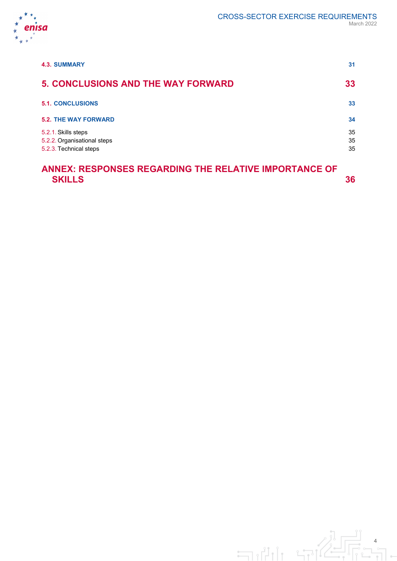

| <b>4.3. SUMMARY</b>                                                          | 31             |
|------------------------------------------------------------------------------|----------------|
| <b>5. CONCLUSIONS AND THE WAY FORWARD</b>                                    | 33             |
| <b>5.1. CONCLUSIONS</b>                                                      | 33             |
| <b>5.2. THE WAY FORWARD</b>                                                  | 34             |
| 5.2.1. Skills steps<br>5.2.2. Organisational steps<br>5.2.3. Technical steps | 35<br>35<br>35 |
|                                                                              |                |

# **ANNEX: RESPONSES REGARDING THE RELATIVE IMPORTANCE OF SKILLS 36**

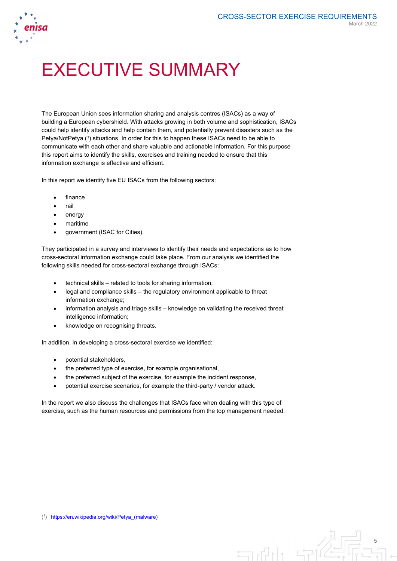

# EXECUTIVE SUMMARY

The European Union sees information sharing and analysis centres (ISACs) as a way of building a European cybershield. With attacks growing in both volume and sophistication, ISACs could help identify attacks and help contain them, and potentially prevent disasters such as the Petya/NotPetya ([1](#page-5-0)) situations. In order for this to happen these ISACs need to be able to communicate with each other and share valuable and actionable information. For this purpose this report aims to identify the skills, exercises and training needed to ensure that this information exchange is effective and efficient.

In this report we identify five EU ISACs from the following sectors:

- finance
- rail
- energy
- maritime
- government (ISAC for Cities).

They participated in a survey and interviews to identify their needs and expectations as to how cross-sectoral information exchange could take place. From our analysis we identified the following skills needed for cross-sectoral exchange through ISACs:

- technical skills related to tools for sharing information;
- legal and compliance skills the regulatory environment applicable to threat information exchange;
- information analysis and triage skills knowledge on validating the received threat intelligence information;
- knowledge on recognising threats.

In addition, in developing a cross-sectoral exercise we identified:

- potential stakeholders,
- the preferred type of exercise, for example organisational,
- the preferred subject of the exercise, for example the incident response,
- potential exercise scenarios, for example the third-party / vendor attack.

In the report we also discuss the challenges that ISACs face when dealing with this type of exercise, such as the human resources and permissions from the top management needed.

 $\exists \mathbf{u}$ 

<span id="page-5-0"></span>

 $\overline{a}$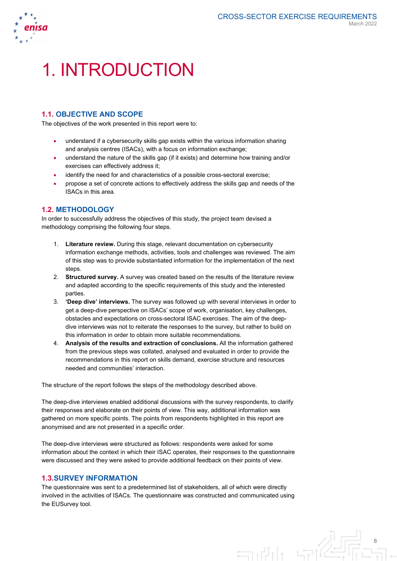

# 1. INTRODUCTION

# **1.1. OBJECTIVE AND SCOPE**

The objectives of the work presented in this report were to:

- understand if a cybersecurity skills gap exists within the various information sharing and analysis centres (ISACs), with a focus on information exchange;
- understand the nature of the skills gap (if it exists) and determine how training and/or exercises can effectively address it;
- identify the need for and characteristics of a possible cross-sectoral exercise;
- propose a set of concrete actions to effectively address the skills gap and needs of the ISACs in this area.

# **1.2. METHODOLOGY**

In order to successfully address the objectives of this study, the project team devised a methodology comprising the following four steps.

- 1. **Literature review.** During this stage, relevant documentation on cybersecurity information exchange methods, activities, tools and challenges was reviewed. The aim of this step was to provide substantiated information for the implementation of the next steps.
- 2. **Structured survey.** A survey was created based on the results of the literature review and adapted according to the specific requirements of this study and the interested parties.
- 3. **'Deep dive' interviews.** The survey was followed up with several interviews in order to get a deep-dive perspective on ISACs' scope of work, organisation, key challenges, obstacles and expectations on cross-sectoral ISAC exercises. The aim of the deepdive interviews was not to reiterate the responses to the survey, but rather to build on this information in order to obtain more suitable recommendations.
- 4. **Analysis of the results and extraction of conclusions.** All the information gathered from the previous steps was collated, analysed and evaluated in order to provide the recommendations in this report on skills demand, exercise structure and resources needed and communities' interaction.

The structure of the report follows the steps of the methodology described above.

The deep-dive interviews enabled additional discussions with the survey respondents, to clarify their responses and elaborate on their points of view. This way, additional information was gathered on more specific points. The points from respondents highlighted in this report are anonymised and are not presented in a specific order.

The deep-dive interviews were structured as follows: respondents were asked for some information about the context in which their ISAC operates, their responses to the questionnaire were discussed and they were asked to provide additional feedback on their points of view.

### **1.3.SURVEY INFORMATION**

The questionnaire was sent to a predetermined list of stakeholders, all of which were directly involved in the activities of ISACs. The questionnaire was constructed and communicated using the EUSurvey tool.

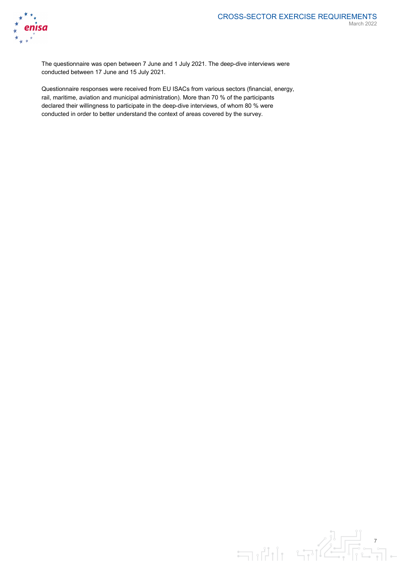

The questionnaire was open between 7 June and 1 July 2021. The deep-dive interviews were conducted between 17 June and 15 July 2021.

Questionnaire responses were received from EU ISACs from various sectors (financial, energy, rail, maritime, aviation and municipal administration). More than 70 % of the participants declared their willingness to participate in the deep-dive interviews, of whom 80 % were conducted in order to better understand the context of areas covered by the survey.

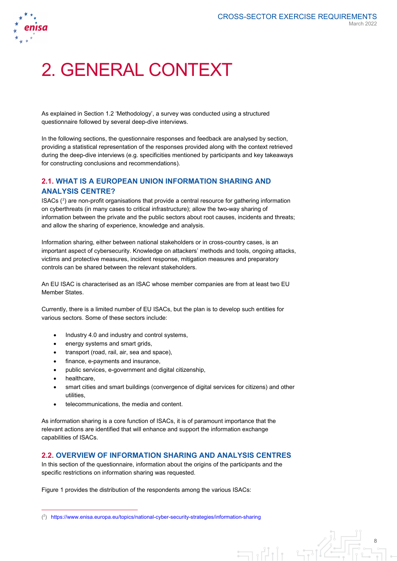

# 2. GENERAL CONTEXT

As explained in Section 1.2 'Methodology', a survey was conducted using a structured questionnaire followed by several deep-dive interviews.

In the following sections, the questionnaire responses and feedback are analysed by section, providing a statistical representation of the responses provided along with the context retrieved during the deep-dive interviews (e.g. specificities mentioned by participants and key takeaways for constructing conclusions and recommendations).

# **2.1. WHAT IS A EUROPEAN UNION INFORMATION SHARING AND ANALYSIS CENTRE?**

ISACs  $(^{2})$  $(^{2})$  $(^{2})$  are non-profit organisations that provide a central resource for gathering information on cyberthreats (in many cases to critical infrastructure); allow the two-way sharing of information between the private and the public sectors about root causes, incidents and threats; and allow the sharing of experience, knowledge and analysis.

Information sharing, either between national stakeholders or in cross-country cases, is an important aspect of cybersecurity. Knowledge on attackers' methods and tools, ongoing attacks, victims and protective measures, incident response, mitigation measures and preparatory controls can be shared between the relevant stakeholders.

An EU ISAC is characterised as an ISAC whose member companies are from at least two EU Member States.

Currently, there is a limited number of EU ISACs, but the plan is to develop such entities for various sectors. Some of these sectors include:

- Industry 4.0 and industry and control systems,
- energy systems and smart grids,
- transport (road, rail, air, sea and space),
- finance, e-payments and insurance,
- public services, e-government and digital citizenship,
- healthcare,

 $\overline{a}$ 

- smart cities and smart buildings (convergence of digital services for citizens) and other utilities,
- telecommunications, the media and content.

As information sharing is a core function of ISACs, it is of paramount importance that the relevant actions are identified that will enhance and support the information exchange capabilities of ISACs.

## **2.2. OVERVIEW OF INFORMATION SHARING AND ANALYSIS CENTRES**

In this section of the questionnaire, information about the origins of the participants and the specific restrictions on information sharing was requested.

 $\equiv$ 

Figure 1 provides the distribution of the respondents among the various ISACs:

<span id="page-8-0"></span><sup>(</sup> 2 ) <https://www.enisa.europa.eu/topics/national-cyber-security-strategies/information-sharing>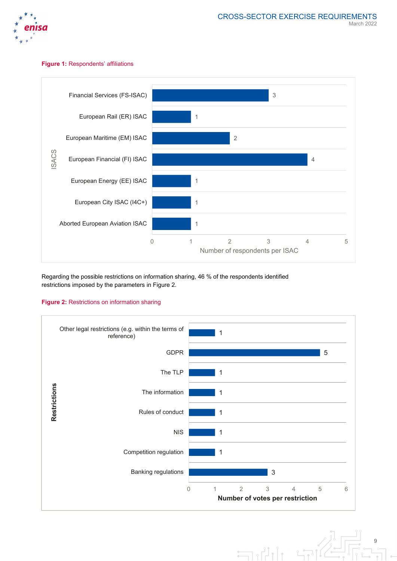

#### **Figure 1:** Respondents' affiliations



Regarding the possible restrictions on information sharing, 46 % of the respondents identified restrictions imposed by the parameters in Figure 2.

# **Figure 2:** Restrictions on information sharing



9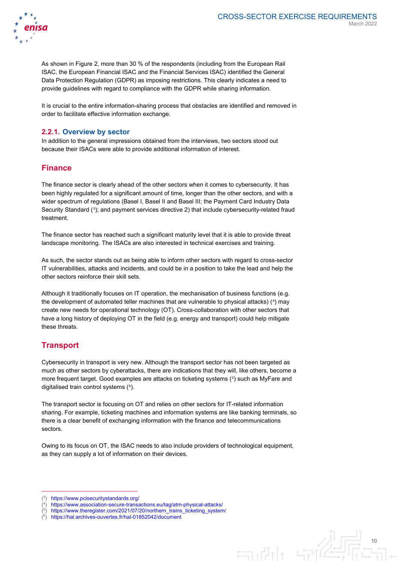

 $\exists \mathbf{u}$ 

As shown in Figure 2, more than 30 % of the respondents (including from the European Rail ISAC, the European Financial ISAC and the Financial Services ISAC) identified the General Data Protection Regulation (GDPR) as imposing restrictions. This clearly indicates a need to provide guidelines with regard to compliance with the GDPR while sharing information.

It is crucial to the entire information-sharing process that obstacles are identified and removed in order to facilitate effective information exchange.

#### **2.2.1. Overview by sector**

In addition to the general impressions obtained from the interviews, two sectors stood out because their ISACs were able to provide additional information of interest.

# **Finance**

The finance sector is clearly ahead of the other sectors when it comes to cybersecurity. It has been highly regulated for a significant amount of time, longer than the other sectors, and with a wider spectrum of regulations (Basel I, Basel II and Basel III; the Payment Card Industry Data Security Standard (<sup>[3](#page-10-0)</sup>); and payment services directive 2) that include cybersecurity-related fraud treatment.

The finance sector has reached such a significant maturity level that it is able to provide threat landscape monitoring. The ISACs are also interested in technical exercises and training.

As such, the sector stands out as being able to inform other sectors with regard to cross-sector IT vulnerabilities, attacks and incidents, and could be in a position to take the lead and help the other sectors reinforce their skill sets.

Although it traditionally focuses on IT operation, the mechanisation of business functions (e.g. the development of automated teller machines that are vulnerable to physical attacks) (<sup>[4](#page-10-1)</sup>) may create new needs for operational technology (OT). Cross-collaboration with other sectors that have a long history of deploying OT in the field (e.g. energy and transport) could help mitigate these threats.

# **Transport**

 $\overline{a}$ 

Cybersecurity in transport is very new. Although the transport sector has not been targeted as much as other sectors by cyberattacks, there are indications that they will, like others, become a more frequent target. Good examples are attacks on ticketing systems ([5](#page-10-2) ) such as MyFare and digitalised train control systems ([6](#page-10-3) ).

The transport sector is focusing on OT and relies on other sectors for IT-related information sharing. For example, ticketing machines and information systems are like banking terminals, so there is a clear benefit of exchanging information with the finance and telecommunications sectors.

Owing to its focus on OT, the ISAC needs to also include providers of technological equipment, as they can supply a lot of information on their devices.

<sup>(</sup> 3 ) <https://www.pcisecuritystandards.org/>

<span id="page-10-2"></span><span id="page-10-1"></span><span id="page-10-0"></span><sup>(</sup> 4 ) <https://www.association-secure-transactions.eu/tag/atm-physical-attacks/>

<sup>(</sup> 5 [https://www.theregister.com/2021/07/20/northern\\_trains\\_ticketing\\_system/](https://www.theregister.com/2021/07/20/northern_trains_ticketing_system/)

<span id="page-10-3"></span><sup>(</sup> 6 ) <https://hal.archives-ouvertes.fr/hal-01852042/document>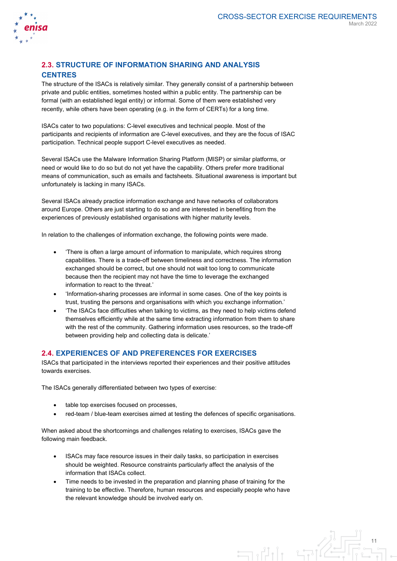

# **2.3. STRUCTURE OF INFORMATION SHARING AND ANALYSIS CENTRES**

The structure of the ISACs is relatively similar. They generally consist of a partnership between private and public entities, sometimes hosted within a public entity. The partnership can be formal (with an established legal entity) or informal. Some of them were established very recently, while others have been operating (e.g. in the form of CERTs) for a long time.

ISACs cater to two populations: C-level executives and technical people. Most of the participants and recipients of information are C-level executives, and they are the focus of ISAC participation. Technical people support C-level executives as needed.

Several ISACs use the Malware Information Sharing Platform (MISP) or similar platforms, or need or would like to do so but do not yet have the capability. Others prefer more traditional means of communication, such as emails and factsheets. Situational awareness is important but unfortunately is lacking in many ISACs.

Several ISACs already practice information exchange and have networks of collaborators around Europe. Others are just starting to do so and are interested in benefiting from the experiences of previously established organisations with higher maturity levels.

In relation to the challenges of information exchange, the following points were made.

- 'There is often a large amount of information to manipulate, which requires strong capabilities. There is a trade-off between timeliness and correctness. The information exchanged should be correct, but one should not wait too long to communicate because then the recipient may not have the time to leverage the exchanged information to react to the threat.'
- 'Information-sharing processes are informal in some cases. One of the key points is trust, trusting the persons and organisations with which you exchange information.'
- 'The ISACs face difficulties when talking to victims, as they need to help victims defend themselves efficiently while at the same time extracting information from them to share with the rest of the community. Gathering information uses resources, so the trade-off between providing help and collecting data is delicate.'

# **2.4. EXPERIENCES OF AND PREFERENCES FOR EXERCISES**

ISACs that participated in the interviews reported their experiences and their positive attitudes towards exercises.

The ISACs generally differentiated between two types of exercise:

- table top exercises focused on processes.
- red-team / blue-team exercises aimed at testing the defences of specific organisations.

When asked about the shortcomings and challenges relating to exercises, ISACs gave the following main feedback.

- ISACs may face resource issues in their daily tasks, so participation in exercises should be weighted. Resource constraints particularly affect the analysis of the information that ISACs collect.
- Time needs to be invested in the preparation and planning phase of training for the training to be effective. Therefore, human resources and especially people who have the relevant knowledge should be involved early on.

 $\exists \mathbf{u}$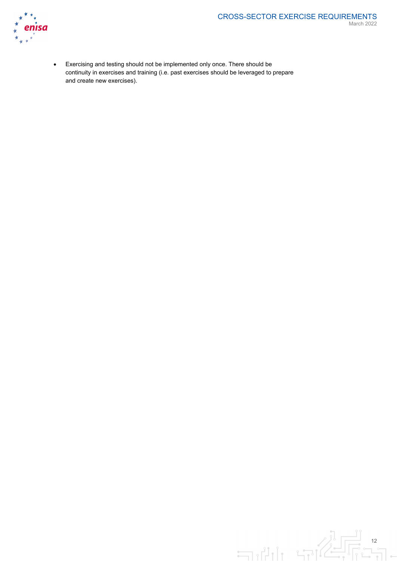

• Exercising and testing should not be implemented only once. There should be continuity in exercises and training (i.e. past exercises should be leveraged to prepare and create new exercises).

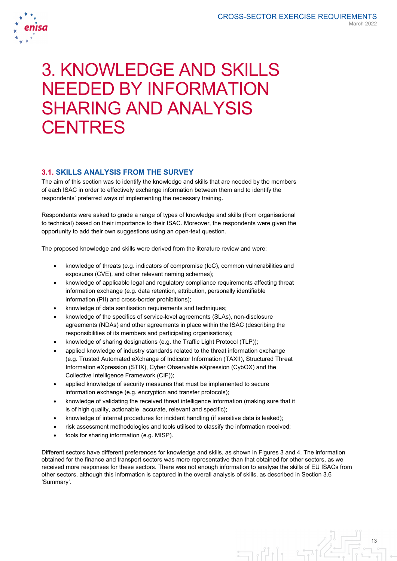

# 3. KNOWLEDGE AND SKILLS NEEDED BY INFORMATION SHARING AND ANALYSIS **CENTRES**

# **3.1. SKILLS ANALYSIS FROM THE SURVEY**

The aim of this section was to identify the knowledge and skills that are needed by the members of each ISAC in order to effectively exchange information between them and to identify the respondents' preferred ways of implementing the necessary training.

Respondents were asked to grade a range of types of knowledge and skills (from organisational to technical) based on their importance to their ISAC. Moreover, the respondents were given the opportunity to add their own suggestions using an open-text question.

The proposed knowledge and skills were derived from the literature review and were:

- knowledge of threats (e.g. indicators of compromise (IoC), common vulnerabilities and exposures (CVE), and other relevant naming schemes);
- knowledge of applicable legal and regulatory compliance requirements affecting threat information exchange (e.g. data retention, attribution, personally identifiable information (PII) and cross-border prohibitions);
- knowledge of data sanitisation requirements and techniques;
- knowledge of the specifics of service-level agreements (SLAs), non-disclosure agreements (NDAs) and other agreements in place within the ISAC (describing the responsibilities of its members and participating organisations);
- knowledge of sharing designations (e.g. the Traffic Light Protocol (TLP));
- applied knowledge of industry standards related to the threat information exchange (e.g. Trusted Automated eXchange of Indicator Information (TAXII), Structured Threat Information eXpression (STIX), Cyber Observable eXpression (CybOX) and the Collective Intelligence Framework (CIF));
- applied knowledge of security measures that must be implemented to secure information exchange (e.g. encryption and transfer protocols);
- knowledge of validating the received threat intelligence information (making sure that it is of high quality, actionable, accurate, relevant and specific);
- knowledge of internal procedures for incident handling (if sensitive data is leaked);
- risk assessment methodologies and tools utilised to classify the information received;
- tools for sharing information (e.g. MISP).

Different sectors have different preferences for knowledge and skills, as shown in Figures 3 and 4. The information obtained for the finance and transport sectors was more representative than that obtained for other sectors, as we received more responses for these sectors. There was not enough information to analyse the skills of EU ISACs from other sectors, although this information is captured in the overall analysis of skills, as described in Section 3.6 'Summary'.

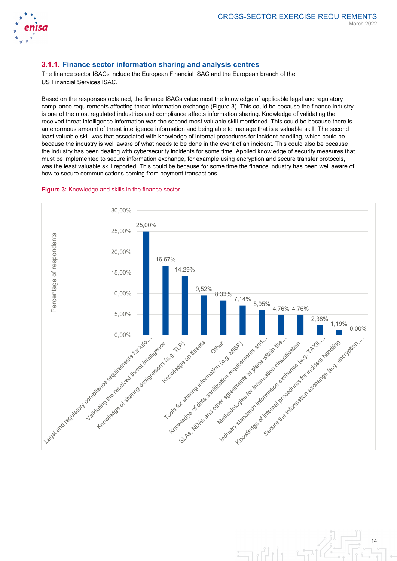

# **3.1.1. Finance sector information sharing and analysis centres**

The finance sector ISACs include the European Financial ISAC and the European branch of the US Financial Services ISAC.

Based on the responses obtained, the finance ISACs value most the knowledge of applicable legal and regulatory compliance requirements affecting threat information exchange (Figure 3). This could be because the finance industry is one of the most regulated industries and compliance affects information sharing. Knowledge of validating the received threat intelligence information was the second most valuable skill mentioned. This could be because there is an enormous amount of threat intelligence information and being able to manage that is a valuable skill. The second least valuable skill was that associated with knowledge of internal procedures for incident handling, which could be because the industry is well aware of what needs to be done in the event of an incident. This could also be because the industry has been dealing with cybersecurity incidents for some time. Applied knowledge of security measures that must be implemented to secure information exchange, for example using encryption and secure transfer protocols, was the least valuable skill reported. This could be because for some time the finance industry has been well aware of how to secure communications coming from payment transactions.





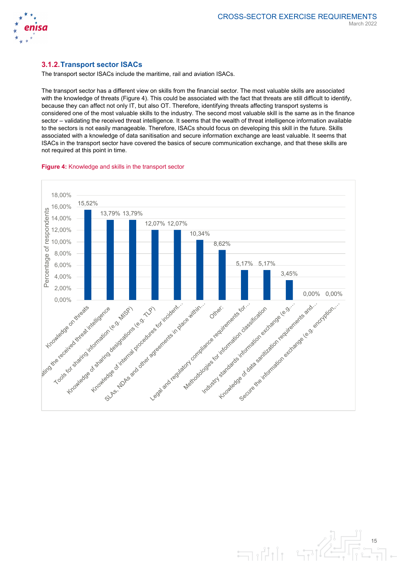

# **3.1.2.Transport sector ISACs**

The transport sector ISACs include the maritime, rail and aviation ISACs.

The transport sector has a different view on skills from the financial sector. The most valuable skills are associated with the knowledge of threats (Figure 4). This could be associated with the fact that threats are still difficult to identify, because they can affect not only IT, but also OT. Therefore, identifying threats affecting transport systems is considered one of the most valuable skills to the industry. The second most valuable skill is the same as in the finance sector – validating the received threat intelligence. It seems that the wealth of threat intelligence information available to the sectors is not easily manageable. Therefore, ISACs should focus on developing this skill in the future. Skills associated with a knowledge of data sanitisation and secure information exchange are least valuable. It seems that ISACs in the transport sector have covered the basics of secure communication exchange, and that these skills are not required at this point in time.





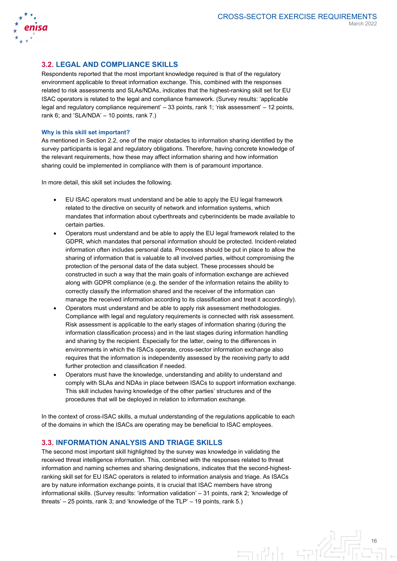

## **3.2. LEGAL AND COMPLIANCE SKILLS**

Respondents reported that the most important knowledge required is that of the regulatory environment applicable to threat information exchange. This, combined with the responses related to risk assessments and SLAs/NDAs, indicates that the highest-ranking skill set for EU ISAC operators is related to the legal and compliance framework. (Survey results: 'applicable legal and regulatory compliance requirement' – 33 points, rank 1; 'risk assessment' – 12 points, rank 6; and 'SLA/NDA' – 10 points, rank 7.)

#### **Why is this skill set important?**

As mentioned in Section 2.2, one of the major obstacles to information sharing identified by the survey participants is legal and regulatory obligations. Therefore, having concrete knowledge of the relevant requirements, how these may affect information sharing and how information sharing could be implemented in compliance with them is of paramount importance.

In more detail, this skill set includes the following.

- EU ISAC operators must understand and be able to apply the EU legal framework related to the directive on security of network and information systems, which mandates that information about cyberthreats and cyberincidents be made available to certain parties.
- Operators must understand and be able to apply the EU legal framework related to the GDPR, which mandates that personal information should be protected. Incident-related information often includes personal data. Processes should be put in place to allow the sharing of information that is valuable to all involved parties, without compromising the protection of the personal data of the data subject. These processes should be constructed in such a way that the main goals of information exchange are achieved along with GDPR compliance (e.g. the sender of the information retains the ability to correctly classify the information shared and the receiver of the information can manage the received information according to its classification and treat it accordingly).
- Operators must understand and be able to apply risk assessment methodologies. Compliance with legal and regulatory requirements is connected with risk assessment. Risk assessment is applicable to the early stages of information sharing (during the information classification process) and in the last stages during information handling and sharing by the recipient. Especially for the latter, owing to the differences in environments in which the ISACs operate, cross-sector information exchange also requires that the information is independently assessed by the receiving party to add further protection and classification if needed.
- Operators must have the knowledge, understanding and ability to understand and comply with SLAs and NDAs in place between ISACs to support information exchange. This skill includes having knowledge of the other parties' structures and of the procedures that will be deployed in relation to information exchange.

In the context of cross-ISAC skills, a mutual understanding of the regulations applicable to each of the domains in which the ISACs are operating may be beneficial to ISAC employees.

### **3.3. INFORMATION ANALYSIS AND TRIAGE SKILLS**

The second most important skill highlighted by the survey was knowledge in validating the received threat intelligence information. This, combined with the responses related to threat information and naming schemes and sharing designations, indicates that the second-highestranking skill set for EU ISAC operators is related to information analysis and triage. As ISACs are by nature information exchange points, it is crucial that ISAC members have strong informational skills. (Survey results: 'information validation' – 31 points, rank 2; 'knowledge of threats' – 25 points, rank 3; and 'knowledge of the TLP' – 19 points, rank 5.)

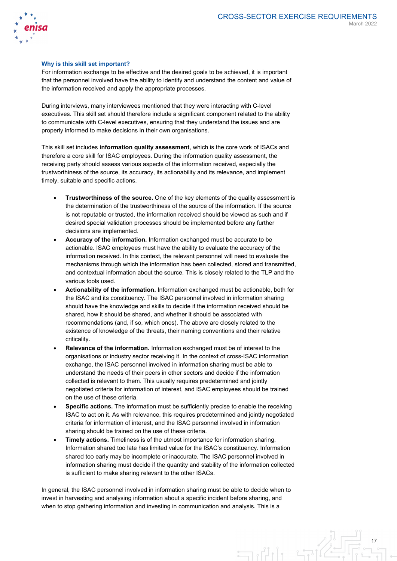

#### **Why is this skill set important?**

For information exchange to be effective and the desired goals to be achieved, it is important that the personnel involved have the ability to identify and understand the content and value of the information received and apply the appropriate processes.

During interviews, many interviewees mentioned that they were interacting with C-level executives. This skill set should therefore include a significant component related to the ability to communicate with C-level executives, ensuring that they understand the issues and are properly informed to make decisions in their own organisations.

This skill set includes **information quality assessment**, which is the core work of ISACs and therefore a core skill for ISAC employees. During the information quality assessment, the receiving party should assess various aspects of the information received, especially the trustworthiness of the source, its accuracy, its actionability and its relevance, and implement timely, suitable and specific actions.

- **Trustworthiness of the source.** One of the key elements of the quality assessment is the determination of the trustworthiness of the source of the information. If the source is not reputable or trusted, the information received should be viewed as such and if desired special validation processes should be implemented before any further decisions are implemented.
- **Accuracy of the information.** Information exchanged must be accurate to be actionable. ISAC employees must have the ability to evaluate the accuracy of the information received. In this context, the relevant personnel will need to evaluate the mechanisms through which the information has been collected, stored and transmitted, and contextual information about the source. This is closely related to the TLP and the various tools used.
- **Actionability of the information.** Information exchanged must be actionable, both for the ISAC and its constituency. The ISAC personnel involved in information sharing should have the knowledge and skills to decide if the information received should be shared, how it should be shared, and whether it should be associated with recommendations (and, if so, which ones). The above are closely related to the existence of knowledge of the threats, their naming conventions and their relative criticality.
- **Relevance of the information.** Information exchanged must be of interest to the organisations or industry sector receiving it. In the context of cross-ISAC information exchange, the ISAC personnel involved in information sharing must be able to understand the needs of their peers in other sectors and decide if the information collected is relevant to them. This usually requires predetermined and jointly negotiated criteria for information of interest, and ISAC employees should be trained on the use of these criteria.
- **Specific actions.** The information must be sufficiently precise to enable the receiving ISAC to act on it. As with relevance, this requires predetermined and jointly negotiated criteria for information of interest, and the ISAC personnel involved in information sharing should be trained on the use of these criteria.
- **Timely actions.** Timeliness is of the utmost importance for information sharing. Information shared too late has limited value for the ISAC's constituency. Information shared too early may be incomplete or inaccurate. The ISAC personnel involved in information sharing must decide if the quantity and stability of the information collected is sufficient to make sharing relevant to the other ISACs.

In general, the ISAC personnel involved in information sharing must be able to decide when to invest in harvesting and analysing information about a specific incident before sharing, and when to stop gathering information and investing in communication and analysis. This is a

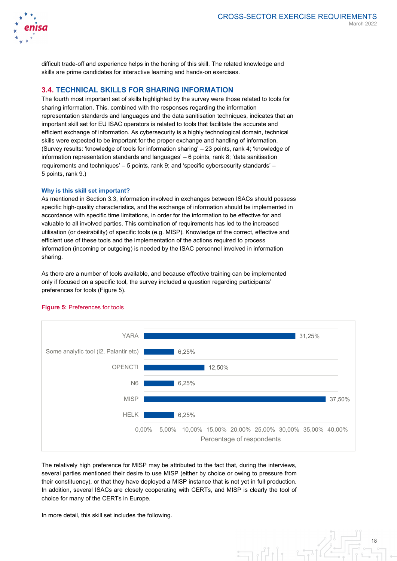

difficult trade-off and experience helps in the honing of this skill. The related knowledge and skills are prime candidates for interactive learning and hands-on exercises.

## **3.4. TECHNICAL SKILLS FOR SHARING INFORMATION**

The fourth most important set of skills highlighted by the survey were those related to tools for sharing information. This, combined with the responses regarding the information representation standards and languages and the data sanitisation techniques, indicates that an important skill set for EU ISAC operators is related to tools that facilitate the accurate and efficient exchange of information. As cybersecurity is a highly technological domain, technical skills were expected to be important for the proper exchange and handling of information. (Survey results: 'knowledge of tools for information sharing' – 23 points, rank 4; 'knowledge of information representation standards and languages' – 6 points, rank 8; 'data sanitisation requirements and techniques' – 5 points, rank 9; and 'specific cybersecurity standards' – 5 points, rank 9.)

#### **Why is this skill set important?**

As mentioned in Section 3.3, information involved in exchanges between ISACs should possess specific high-quality characteristics, and the exchange of information should be implemented in accordance with specific time limitations, in order for the information to be effective for and valuable to all involved parties. This combination of requirements has led to the increased utilisation (or desirability) of specific tools (e.g. MISP). Knowledge of the correct, effective and efficient use of these tools and the implementation of the actions required to process information (incoming or outgoing) is needed by the ISAC personnel involved in information sharing.

As there are a number of tools available, and because effective training can be implemented only if focused on a specific tool, the survey included a question regarding participants' preferences for tools (Figure 5).



#### **Figure 5:** Preferences for tools

The relatively high preference for MISP may be attributed to the fact that, during the interviews, several parties mentioned their desire to use MISP (either by choice or owing to pressure from their constituency), or that they have deployed a MISP instance that is not yet in full production. In addition, several ISACs are closely cooperating with CERTs, and MISP is clearly the tool of choice for many of the CERTs in Europe.

In more detail, this skill set includes the following.

18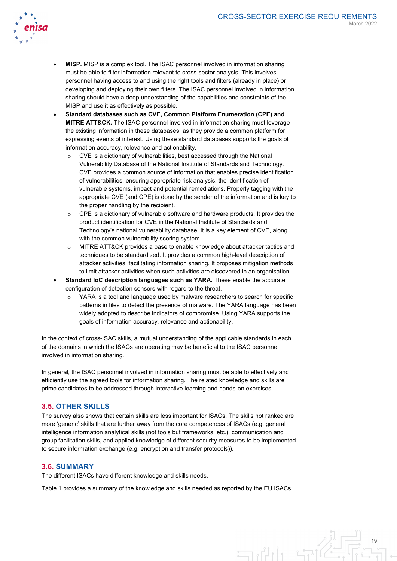

- **MISP.** MISP is a complex tool. The ISAC personnel involved in information sharing must be able to filter information relevant to cross-sector analysis. This involves personnel having access to and using the right tools and filters (already in place) or developing and deploying their own filters. The ISAC personnel involved in information sharing should have a deep understanding of the capabilities and constraints of the MISP and use it as effectively as possible.
- **Standard databases such as CVE, Common Platform Enumeration (CPE) and MITRE ATT&CK.** The ISAC personnel involved in information sharing must leverage the existing information in these databases, as they provide a common platform for expressing events of interest. Using these standard databases supports the goals of information accuracy, relevance and actionability.
	- CVE is a dictionary of vulnerabilities, best accessed through the National Vulnerability Database of the National Institute of Standards and Technology. CVE provides a common source of information that enables precise identification of vulnerabilities, ensuring appropriate risk analysis, the identification of vulnerable systems, impact and potential remediations. Properly tagging with the appropriate CVE (and CPE) is done by the sender of the information and is key to the proper handling by the recipient.
	- $\circ$  CPE is a dictionary of vulnerable software and hardware products. It provides the product identification for CVE in the National Institute of Standards and Technology's national vulnerability database. It is a key element of CVE, along with the common vulnerability scoring system.
	- o MITRE ATT&CK provides a base to enable knowledge about attacker tactics and techniques to be standardised. It provides a common high-level description of attacker activities, facilitating information sharing. It proposes mitigation methods to limit attacker activities when such activities are discovered in an organisation.
- **Standard IoC description languages such as YARA.** These enable the accurate configuration of detection sensors with regard to the threat.
	- YARA is a tool and language used by malware researchers to search for specific patterns in files to detect the presence of malware. The YARA language has been widely adopted to describe indicators of compromise. Using YARA supports the goals of information accuracy, relevance and actionability.

In the context of cross-ISAC skills, a mutual understanding of the applicable standards in each of the domains in which the ISACs are operating may be beneficial to the ISAC personnel involved in information sharing.

In general, the ISAC personnel involved in information sharing must be able to effectively and efficiently use the agreed tools for information sharing. The related knowledge and skills are prime candidates to be addressed through interactive learning and hands-on exercises.

# **3.5. OTHER SKILLS**

The survey also shows that certain skills are less important for ISACs. The skills not ranked are more 'generic' skills that are further away from the core competences of ISACs (e.g. general intelligence information analytical skills (not tools but frameworks, etc.), communication and group facilitation skills, and applied knowledge of different security measures to be implemented to secure information exchange (e.g. encryption and transfer protocols)).

#### **3.6. SUMMARY**

The different ISACs have different knowledge and skills needs.

Table 1 provides a summary of the knowledge and skills needed as reported by the EU ISACs.

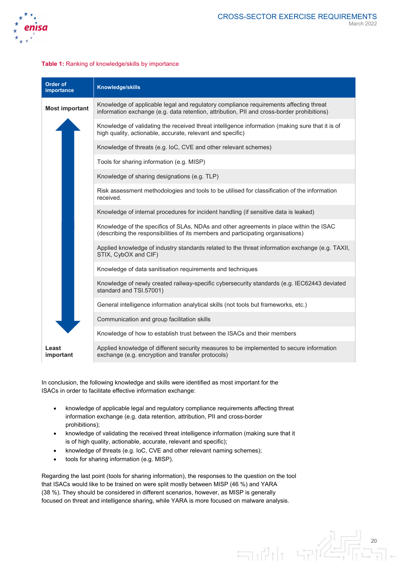

#### **Table 1:** Ranking of knowledge/skills by importance

| Order of<br>importance | Knowledge/skills                                                                                                                                                                    |  |  |  |  |  |  |  |
|------------------------|-------------------------------------------------------------------------------------------------------------------------------------------------------------------------------------|--|--|--|--|--|--|--|
| <b>Most important</b>  | Knowledge of applicable legal and regulatory compliance requirements affecting threat<br>information exchange (e.g. data retention, attribution, PII and cross-border prohibitions) |  |  |  |  |  |  |  |
|                        | Knowledge of validating the received threat intelligence information (making sure that it is of<br>high quality, actionable, accurate, relevant and specific)                       |  |  |  |  |  |  |  |
|                        | Knowledge of threats (e.g. loC, CVE and other relevant schemes)                                                                                                                     |  |  |  |  |  |  |  |
|                        | Tools for sharing information (e.g. MISP)                                                                                                                                           |  |  |  |  |  |  |  |
|                        | Knowledge of sharing designations (e.g. TLP)                                                                                                                                        |  |  |  |  |  |  |  |
|                        | Risk assessment methodologies and tools to be utilised for classification of the information<br>received.                                                                           |  |  |  |  |  |  |  |
|                        | Knowledge of internal procedures for incident handling (if sensitive data is leaked)                                                                                                |  |  |  |  |  |  |  |
|                        | Knowledge of the specifics of SLAs, NDAs and other agreements in place within the ISAC<br>(describing the responsibilities of its members and participating organisations)          |  |  |  |  |  |  |  |
|                        | Applied knowledge of industry standards related to the threat information exchange (e.g. TAXII,<br>STIX, CybOX and CIF)                                                             |  |  |  |  |  |  |  |
|                        | Knowledge of data sanitisation requirements and techniques                                                                                                                          |  |  |  |  |  |  |  |
|                        | Knowledge of newly created railway-specific cybersecurity standards (e.g. IEC62443 deviated<br>standard and TSI.57001)                                                              |  |  |  |  |  |  |  |
|                        | General intelligence information analytical skills (not tools but frameworks, etc.)                                                                                                 |  |  |  |  |  |  |  |
|                        | Communication and group facilitation skills                                                                                                                                         |  |  |  |  |  |  |  |
|                        | Knowledge of how to establish trust between the ISACs and their members                                                                                                             |  |  |  |  |  |  |  |
| Least<br>important     | Applied knowledge of different security measures to be implemented to secure information<br>exchange (e.g. encryption and transfer protocols)                                       |  |  |  |  |  |  |  |

In conclusion, the following knowledge and skills were identified as most important for the ISACs in order to facilitate effective information exchange:

- knowledge of applicable legal and regulatory compliance requirements affecting threat information exchange (e.g. data retention, attribution, PII and cross-border prohibitions);
- knowledge of validating the received threat intelligence information (making sure that it is of high quality, actionable, accurate, relevant and specific);
- knowledge of threats (e.g. IoC, CVE and other relevant naming schemes);
- tools for sharing information (e.g. MISP).

Regarding the last point (tools for sharing information), the responses to the question on the tool that ISACs would like to be trained on were split mostly between MISP (46 %) and YARA (38 %). They should be considered in different scenarios, however, as MISP is generally focused on threat and intelligence sharing, while YARA is more focused on malware analysis.

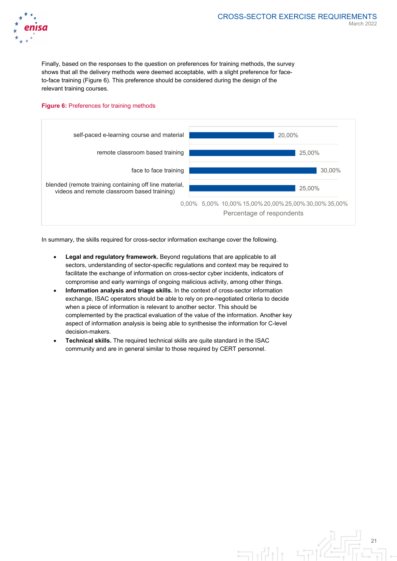

Finally, based on the responses to the question on preferences for training methods, the survey shows that all the delivery methods were deemed acceptable, with a slight preference for faceto-face training (Figure 6). This preference should be considered during the design of the relevant training courses.

#### **Figure 6:** Preferences for training methods



In summary, the skills required for cross-sector information exchange cover the following.

- **Legal and regulatory framework.** Beyond regulations that are applicable to all sectors, understanding of sector-specific regulations and context may be required to facilitate the exchange of information on cross-sector cyber incidents, indicators of compromise and early warnings of ongoing malicious activity, among other things.
- **Information analysis and triage skills.** In the context of cross-sector information exchange, ISAC operators should be able to rely on pre-negotiated criteria to decide when a piece of information is relevant to another sector. This should be complemented by the practical evaluation of the value of the information. Another key aspect of information analysis is being able to synthesise the information for C-level decision-makers.
- **Technical skills.** The required technical skills are quite standard in the ISAC community and are in general similar to those required by CERT personnel.

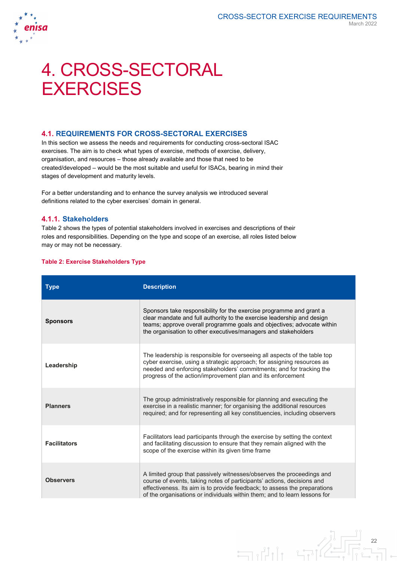

# 4. CROSS-SECTORAL **EXERCISES**

# **4.1. REQUIREMENTS FOR CROSS-SECTORAL EXERCISES**

In this section we assess the needs and requirements for conducting cross-sectoral ISAC exercises. The aim is to check what types of exercise, methods of exercise, delivery, organisation, and resources – those already available and those that need to be created/developed – would be the most suitable and useful for ISACs, bearing in mind their stages of development and maturity levels.

For a better understanding and to enhance the survey analysis we introduced several definitions related to the cyber exercises' domain in general.

### **4.1.1. Stakeholders**

Table 2 shows the types of potential stakeholders involved in exercises and descriptions of their roles and responsibilities. Depending on the type and scope of an exercise, all roles listed below may or may not be necessary.

#### **Table 2: Exercise Stakeholders Type**

| <b>Type</b>         | <b>Description</b>                                                                                                                                                                                                                                                                                        |
|---------------------|-----------------------------------------------------------------------------------------------------------------------------------------------------------------------------------------------------------------------------------------------------------------------------------------------------------|
| <b>Sponsors</b>     | Sponsors take responsibility for the exercise programme and grant a<br>clear mandate and full authority to the exercise leadership and design<br>teams; approve overall programme goals and objectives; advocate within<br>the organisation to other executives/managers and stakeholders                 |
| Leadership          | The leadership is responsible for overseeing all aspects of the table top<br>cyber exercise, using a strategic approach; for assigning resources as<br>needed and enforcing stakeholders' commitments; and for tracking the<br>progress of the action/improvement plan and its enforcement                |
| <b>Planners</b>     | The group administratively responsible for planning and executing the<br>exercise in a realistic manner; for organising the additional resources<br>required; and for representing all key constituencies, including observers                                                                            |
| <b>Facilitators</b> | Facilitators lead participants through the exercise by setting the context<br>and facilitating discussion to ensure that they remain aligned with the<br>scope of the exercise within its given time frame                                                                                                |
| <b>Observers</b>    | A limited group that passively witnesses/observes the proceedings and<br>course of events, taking notes of participants' actions, decisions and<br>effectiveness. Its aim is to provide feedback; to assess the preparations<br>of the organisations or individuals within them; and to learn lessons for |

22

LEIG

 $\exists \mathbf{u}$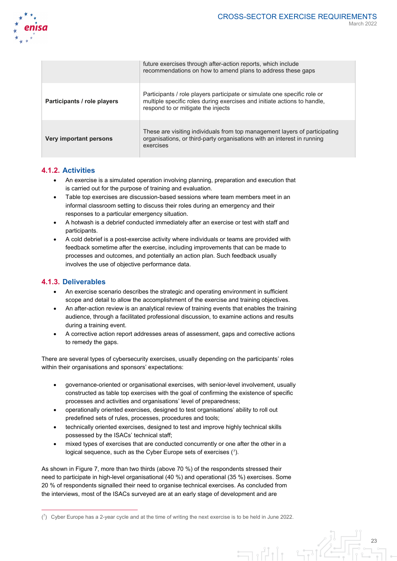

|                             | future exercises through after-action reports, which include<br>recommendations on how to amend plans to address these gaps                                                                |
|-----------------------------|--------------------------------------------------------------------------------------------------------------------------------------------------------------------------------------------|
| Participants / role players | Participants / role players participate or simulate one specific role or<br>multiple specific roles during exercises and initiate actions to handle,<br>respond to or mitigate the injects |
| Very important persons      | These are visiting individuals from top management layers of participating<br>organisations, or third-party organisations with an interest in running<br>exercises                         |

# **4.1.2. Activities**

- An exercise is a simulated operation involving planning, preparation and execution that is carried out for the purpose of training and evaluation.
- Table top exercises are discussion-based sessions where team members meet in an informal classroom setting to discuss their roles during an emergency and their responses to a particular emergency situation.
- A hotwash is a debrief conducted immediately after an exercise or test with staff and participants.
- A cold debrief is a post-exercise activity where individuals or teams are provided with feedback sometime after the exercise, including improvements that can be made to processes and outcomes, and potentially an action plan. Such feedback usually involves the use of objective performance data.

# **4.1.3. Deliverables**

 $\overline{a}$ 

- An exercise scenario describes the strategic and operating environment in sufficient scope and detail to allow the accomplishment of the exercise and training objectives.
- An after-action review is an analytical review of training events that enables the training audience, through a facilitated professional discussion, to examine actions and results during a training event.
- A corrective action report addresses areas of assessment, gaps and corrective actions to remedy the gaps.

There are several types of cybersecurity exercises, usually depending on the participants' roles within their organisations and sponsors' expectations:

- governance-oriented or organisational exercises, with senior-level involvement, usually constructed as table top exercises with the goal of confirming the existence of specific processes and activities and organisations' level of preparedness;
- operationally oriented exercises, designed to test organisations' ability to roll out predefined sets of rules, processes, procedures and tools;
- technically oriented exercises, designed to test and improve highly technical skills possessed by the ISACs' technical staff;
- mixed types of exercises that are conducted concurrently or one after the other in a logical sequence, such as the Cyber Europe sets of exercises ([7](#page-23-0)).

As shown in Figure 7, more than two thirds (above 70 %) of the respondents stressed their need to participate in high-level organisational (40 %) and operational (35 %) exercises. Some 20 % of respondents signalled their need to organise technical exercises. As concluded from the interviews, most of the ISACs surveyed are at an early stage of development and are

<span id="page-23-0"></span> $(7)$  Cyber Europe has a 2-year cycle and at the time of writing the next exercise is to be held in June 2022.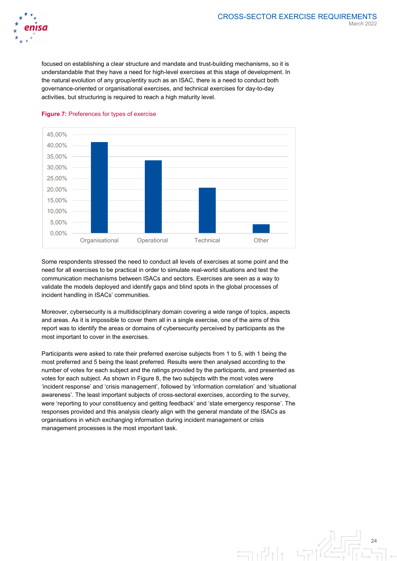

focused on establishing a clear structure and mandate and trust-building mechanisms, so it is understandable that they have a need for high-level exercises at this stage of development. In the natural evolution of any group/entity such as an ISAC, there is a need to conduct both governance-oriented or organisational exercises, and technical exercises for day-to-day activities, but structuring is required to reach a high maturity level.



#### **Figure 7:** Preferences for types of exercise

Some respondents stressed the need to conduct all levels of exercises at some point and the need for all exercises to be practical in order to simulate real-world situations and test the communication mechanisms between ISACs and sectors. Exercises are seen as a way to validate the models deployed and identify gaps and blind spots in the global processes of incident handling in ISACs' communities.

Moreover, cybersecurity is a multidisciplinary domain covering a wide range of topics, aspects and areas. As it is impossible to cover them all in a single exercise, one of the aims of this report was to identify the areas or domains of cybersecurity perceived by participants as the most important to cover in the exercises.

Participants were asked to rate their preferred exercise subjects from 1 to 5, with 1 being the most preferred and 5 being the least preferred. Results were then analysed according to the number of votes for each subject and the ratings provided by the participants, and presented as votes for each subject. As shown in Figure 8, the two subjects with the most votes were 'incident response' and 'crisis management', followed by 'information correlation' and 'situational awareness'. The least important subjects of cross-sectoral exercises, according to the survey, were 'reporting to your constituency and getting feedback' and 'state emergency response'. The responses provided and this analysis clearly align with the general mandate of the ISACs as organisations in which exchanging information during incident management or crisis management processes is the most important task.

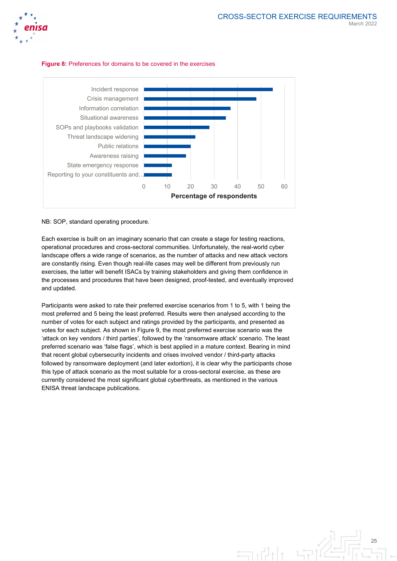





#### NB: SOP, standard operating procedure.

Each exercise is built on an imaginary scenario that can create a stage for testing reactions, operational procedures and cross-sectoral communities. Unfortunately, the real-world cyber landscape offers a wide range of scenarios, as the number of attacks and new attack vectors are constantly rising. Even though real-life cases may well be different from previously run exercises, the latter will benefit ISACs by training stakeholders and giving them confidence in the processes and procedures that have been designed, proof-tested, and eventually improved and updated.

Participants were asked to rate their preferred exercise scenarios from 1 to 5, with 1 being the most preferred and 5 being the least preferred. Results were then analysed according to the number of votes for each subject and ratings provided by the participants, and presented as votes for each subject. As shown in Figure 9, the most preferred exercise scenario was the 'attack on key vendors / third parties', followed by the 'ransomware attack' scenario. The least preferred scenario was 'false flags', which is best applied in a mature context. Bearing in mind that recent global cybersecurity incidents and crises involved vendor / third-party attacks followed by ransomware deployment (and later extortion), it is clear why the participants chose this type of attack scenario as the most suitable for a cross-sectoral exercise, as these are currently considered the most significant global cyberthreats, as mentioned in the various ENISA threat landscape publications.

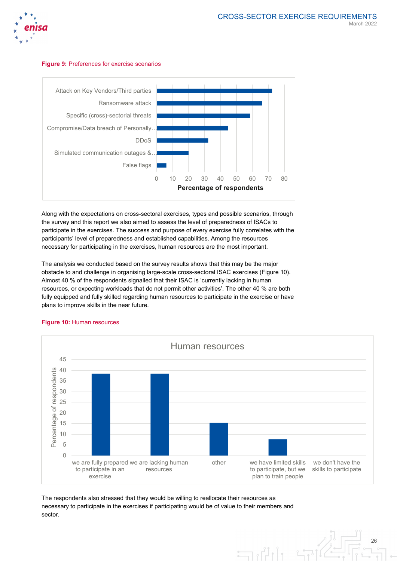

#### **Figure 9:** Preferences for exercise scenarios



Along with the expectations on cross-sectoral exercises, types and possible scenarios, through the survey and this report we also aimed to assess the level of preparedness of ISACs to participate in the exercises. The success and purpose of every exercise fully correlates with the participants' level of preparedness and established capabilities. Among the resources necessary for participating in the exercises, human resources are the most important.

The analysis we conducted based on the survey results shows that this may be the major obstacle to and challenge in organising large-scale cross-sectoral ISAC exercises (Figure 10). Almost 40 % of the respondents signalled that their ISAC is 'currently lacking in human resources, or expecting workloads that do not permit other activities'. The other 40 % are both fully equipped and fully skilled regarding human resources to participate in the exercise or have plans to improve skills in the near future.



#### **Figure 10:** Human resources

The respondents also stressed that they would be willing to reallocate their resources as necessary to participate in the exercises if participating would be of value to their members and sector.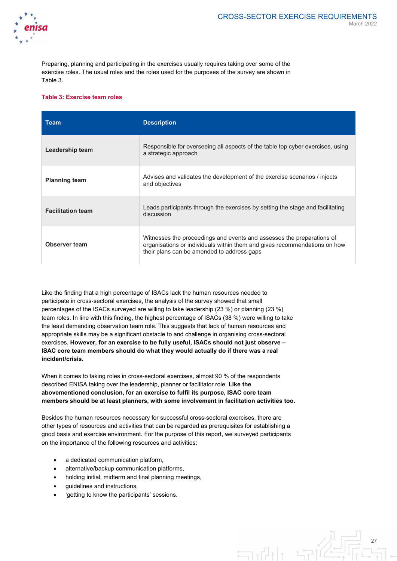

Preparing, planning and participating in the exercises usually requires taking over some of the exercise roles. The usual roles and the roles used for the purposes of the survey are shown in Table 3.

#### **Table 3: Exercise team roles**

| Team                     | <b>Description</b>                                                                                                                                                                               |
|--------------------------|--------------------------------------------------------------------------------------------------------------------------------------------------------------------------------------------------|
| Leadership team          | Responsible for overseeing all aspects of the table top cyber exercises, using<br>a strategic approach                                                                                           |
| <b>Planning team</b>     | Advises and validates the development of the exercise scenarios / injects<br>and objectives                                                                                                      |
| <b>Facilitation team</b> | Leads participants through the exercises by setting the stage and facilitating<br>discussion                                                                                                     |
| <b>Observer team</b>     | Witnesses the proceedings and events and assesses the preparations of<br>organisations or individuals within them and gives recommendations on how<br>their plans can be amended to address gaps |

Like the finding that a high percentage of ISACs lack the human resources needed to participate in cross-sectoral exercises, the analysis of the survey showed that small percentages of the ISACs surveyed are willing to take leadership (23 %) or planning (23 %) team roles. In line with this finding, the highest percentage of ISACs (38 %) were willing to take the least demanding observation team role. This suggests that lack of human resources and appropriate skills may be a significant obstacle to and challenge in organising cross-sectoral exercises. **However, for an exercise to be fully useful, ISACs should not just observe – ISAC core team members should do what they would actually do if there was a real incident/crisis.**

When it comes to taking roles in cross-sectoral exercises, almost 90 % of the respondents described ENISA taking over the leadership, planner or facilitator role. **Like the abovementioned conclusion, for an exercise to fulfil its purpose, ISAC core team members should be at least planners, with some involvement in facilitation activities too.**

Besides the human resources necessary for successful cross-sectoral exercises, there are other types of resources and activities that can be regarded as prerequisites for establishing a good basis and exercise environment. For the purpose of this report, we surveyed participants on the importance of the following resources and activities:

- a dedicated communication platform,
- alternative/backup communication platforms,
- holding initial, midterm and final planning meetings,
- guidelines and instructions,
- 'getting to know the participants' sessions.

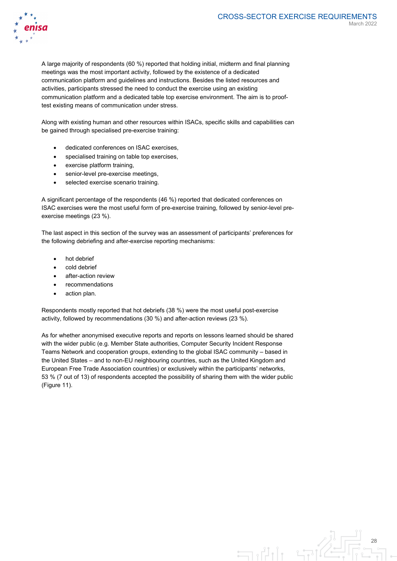

A large majority of respondents (60 %) reported that holding initial, midterm and final planning meetings was the most important activity, followed by the existence of a dedicated communication platform and guidelines and instructions. Besides the listed resources and activities, participants stressed the need to conduct the exercise using an existing communication platform and a dedicated table top exercise environment. The aim is to prooftest existing means of communication under stress.

Along with existing human and other resources within ISACs, specific skills and capabilities can be gained through specialised pre-exercise training:

- dedicated conferences on ISAC exercises,
- specialised training on table top exercises,
- exercise platform training,
- senior-level pre-exercise meetings.
- selected exercise scenario training.

A significant percentage of the respondents (46 %) reported that dedicated conferences on ISAC exercises were the most useful form of pre-exercise training, followed by senior-level preexercise meetings (23 %).

The last aspect in this section of the survey was an assessment of participants' preferences for the following debriefing and after-exercise reporting mechanisms:

- hot debrief
- cold debrief
- after-action review
- **recommendations**
- action plan.

Respondents mostly reported that hot debriefs (38 %) were the most useful post-exercise activity, followed by recommendations (30 %) and after-action reviews (23 %).

As for whether anonymised executive reports and reports on lessons learned should be shared with the wider public (e.g. Member State authorities, Computer Security Incident Response Teams Network and cooperation groups, extending to the global ISAC community – based in the United States – and to non-EU neighbouring countries, such as the United Kingdom and European Free Trade Association countries) or exclusively within the participants' networks, 53 % (7 out of 13) of respondents accepted the possibility of sharing them with the wider public (Figure 11).

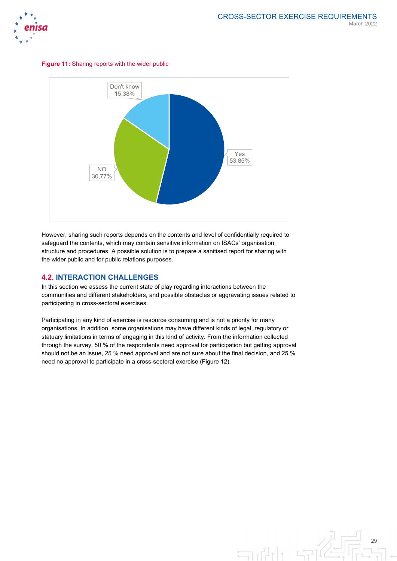





However, sharing such reports depends on the contents and level of confidentially required to safeguard the contents, which may contain sensitive information on ISACs' organisation, structure and procedures. A possible solution is to prepare a sanitised report for sharing with the wider public and for public relations purposes.

# **4.2. INTERACTION CHALLENGES**

In this section we assess the current state of play regarding interactions between the communities and different stakeholders, and possible obstacles or aggravating issues related to participating in cross-sectoral exercises.

Participating in any kind of exercise is resource consuming and is not a priority for many organisations. In addition, some organisations may have different kinds of legal, regulatory or statuary limitations in terms of engaging in this kind of activity. From the information collected through the survey, 50 % of the respondents need approval for participation but getting approval should not be an issue, 25 % need approval and are not sure about the final decision, and 25 % need no approval to participate in a cross-sectoral exercise (Figure 12).

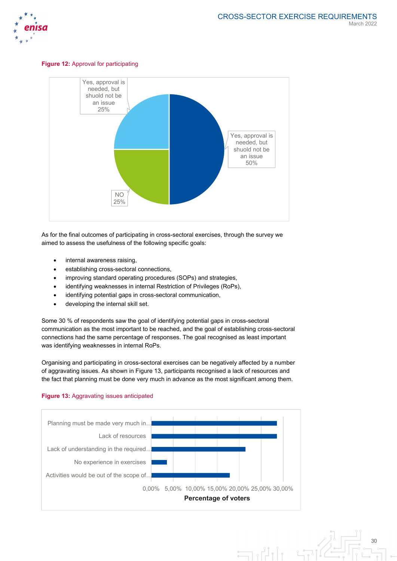

#### **Figure 12:** Approval for participating



As for the final outcomes of participating in cross-sectoral exercises, through the survey we aimed to assess the usefulness of the following specific goals:

- internal awareness raising,
- establishing cross-sectoral connections,
- improving standard operating procedures (SOPs) and strategies,
- identifying weaknesses in internal Restriction of Privileges (RoPs),
- identifying potential gaps in cross-sectoral communication,
- developing the internal skill set.

Some 30 % of respondents saw the goal of identifying potential gaps in cross-sectoral communication as the most important to be reached, and the goal of establishing cross-sectoral connections had the same percentage of responses. The goal recognised as least important was identifying weaknesses in internal RoPs.

Organising and participating in cross-sectoral exercises can be negatively affected by a number of aggravating issues. As shown in Figure 13, participants recognised a lack of resources and the fact that planning must be done very much in advance as the most significant among them.





30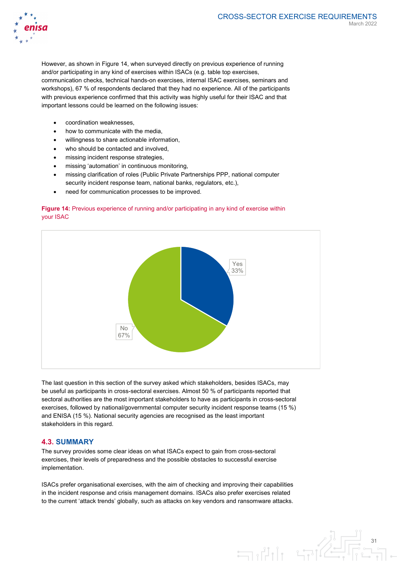

However, as shown in Figure 14, when surveyed directly on previous experience of running and/or participating in any kind of exercises within ISACs (e.g. table top exercises, communication checks, technical hands-on exercises, internal ISAC exercises, seminars and workshops), 67 % of respondents declared that they had no experience. All of the participants with previous experience confirmed that this activity was highly useful for their ISAC and that important lessons could be learned on the following issues:

- coordination weaknesses,
- how to communicate with the media,
- willingness to share actionable information,
- who should be contacted and involved,
- missing incident response strategies.
- missing 'automation' in continuous monitoring,
- missing clarification of roles (Public Private Partnerships PPP, national computer security incident response team, national banks, regulators, etc.),
- need for communication processes to be improved.

#### **Figure 14:** Previous experience of running and/or participating in any kind of exercise within your ISAC



The last question in this section of the survey asked which stakeholders, besides ISACs, may be useful as participants in cross-sectoral exercises. Almost 50 % of participants reported that sectoral authorities are the most important stakeholders to have as participants in cross-sectoral exercises, followed by national/governmental computer security incident response teams (15 %) and ENISA (15 %). National security agencies are recognised as the least important stakeholders in this regard.

### **4.3. SUMMARY**

The survey provides some clear ideas on what ISACs expect to gain from cross-sectoral exercises, their levels of preparedness and the possible obstacles to successful exercise implementation.

ISACs prefer organisational exercises, with the aim of checking and improving their capabilities in the incident response and crisis management domains. ISACs also prefer exercises related to the current 'attack trends' globally, such as attacks on key vendors and ransomware attacks.

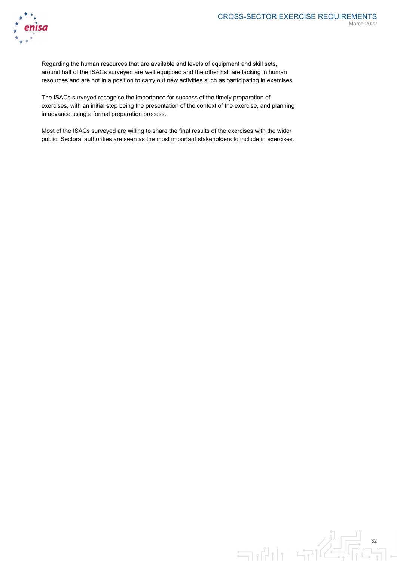

Regarding the human resources that are available and levels of equipment and skill sets, around half of the ISACs surveyed are well equipped and the other half are lacking in human resources and are not in a position to carry out new activities such as participating in exercises.

The ISACs surveyed recognise the importance for success of the timely preparation of exercises, with an initial step being the presentation of the context of the exercise, and planning in advance using a formal preparation process.

Most of the ISACs surveyed are willing to share the final results of the exercises with the wider public. Sectoral authorities are seen as the most important stakeholders to include in exercises.

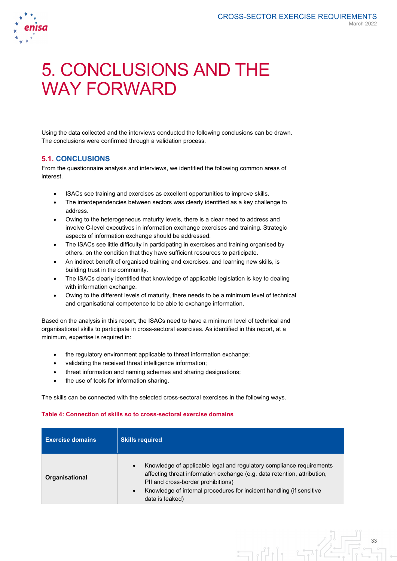

# 5. CONCLUSIONS AND THE WAY FORWARD

Using the data collected and the interviews conducted the following conclusions can be drawn. The conclusions were confirmed through a validation process.

# **5.1. CONCLUSIONS**

From the questionnaire analysis and interviews, we identified the following common areas of interest.

- ISACs see training and exercises as excellent opportunities to improve skills.
- The interdependencies between sectors was clearly identified as a key challenge to address.
- Owing to the heterogeneous maturity levels, there is a clear need to address and involve C-level executives in information exchange exercises and training. Strategic aspects of information exchange should be addressed.
- The ISACs see little difficulty in participating in exercises and training organised by others, on the condition that they have sufficient resources to participate.
- An indirect benefit of organised training and exercises, and learning new skills, is building trust in the community.
- The ISACs clearly identified that knowledge of applicable legislation is key to dealing with information exchange.
- Owing to the different levels of maturity, there needs to be a minimum level of technical and organisational competence to be able to exchange information.

Based on the analysis in this report, the ISACs need to have a minimum level of technical and organisational skills to participate in cross-sectoral exercises. As identified in this report, at a minimum, expertise is required in:

- the regulatory environment applicable to threat information exchange;
- validating the received threat intelligence information;
- threat information and naming schemes and sharing designations;
- the use of tools for information sharing.

The skills can be connected with the selected cross-sectoral exercises in the following ways.

#### **Table 4: Connection of skills so to cross-sectoral exercise domains**

| <b>Exercise domains</b> | <b>Skills required</b>                                                                                                                                                                                                                                                                                      |
|-------------------------|-------------------------------------------------------------------------------------------------------------------------------------------------------------------------------------------------------------------------------------------------------------------------------------------------------------|
| Organisational          | Knowledge of applicable legal and regulatory compliance requirements<br>$\bullet$<br>affecting threat information exchange (e.g. data retention, attribution,<br>PII and cross-border prohibitions)<br>Knowledge of internal procedures for incident handling (if sensitive<br>$\bullet$<br>data is leaked) |

 $\exists \mathbb{R}^n$ 

33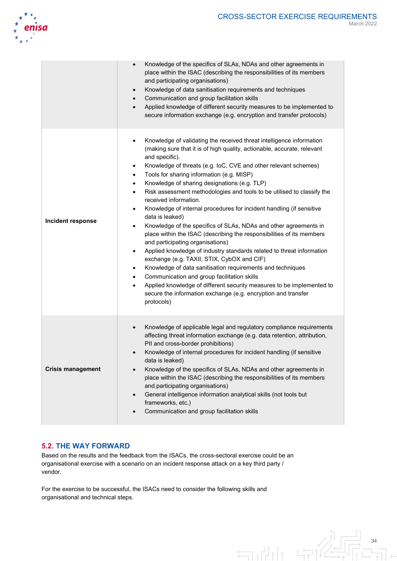

|                          | Knowledge of the specifics of SLAs, NDAs and other agreements in<br>$\bullet$<br>place within the ISAC (describing the responsibilities of its members<br>and participating organisations)<br>Knowledge of data sanitisation requirements and techniques<br>$\bullet$<br>Communication and group facilitation skills<br>$\bullet$<br>Applied knowledge of different security measures to be implemented to<br>$\bullet$<br>secure information exchange (e.g. encryption and transfer protocols)                                                                                                                                                                                                                                                                                                                                                                                                                                                                                                                                                                                                                                                                                                                     |
|--------------------------|---------------------------------------------------------------------------------------------------------------------------------------------------------------------------------------------------------------------------------------------------------------------------------------------------------------------------------------------------------------------------------------------------------------------------------------------------------------------------------------------------------------------------------------------------------------------------------------------------------------------------------------------------------------------------------------------------------------------------------------------------------------------------------------------------------------------------------------------------------------------------------------------------------------------------------------------------------------------------------------------------------------------------------------------------------------------------------------------------------------------------------------------------------------------------------------------------------------------|
| Incident response        | Knowledge of validating the received threat intelligence information<br>$\bullet$<br>(making sure that it is of high quality, actionable, accurate, relevant<br>and specific).<br>Knowledge of threats (e.g. loC, CVE and other relevant schemes)<br>٠<br>Tools for sharing information (e.g. MISP)<br>$\bullet$<br>Knowledge of sharing designations (e.g. TLP)<br>٠<br>Risk assessment methodologies and tools to be utilised to classify the<br>$\bullet$<br>received information.<br>Knowledge of internal procedures for incident handling (if sensitive<br>$\bullet$<br>data is leaked)<br>Knowledge of the specifics of SLAs, NDAs and other agreements in<br>٠<br>place within the ISAC (describing the responsibilities of its members<br>and participating organisations)<br>Applied knowledge of industry standards related to threat information<br>٠<br>exchange (e.g. TAXII, STIX, CybOX and CIF)<br>Knowledge of data sanitisation requirements and techniques<br>٠<br>Communication and group facilitation skills<br>$\bullet$<br>Applied knowledge of different security measures to be implemented to<br>$\bullet$<br>secure the information exchange (e.g. encryption and transfer<br>protocols) |
| <b>Crisis management</b> | Knowledge of applicable legal and regulatory compliance requirements<br>$\bullet$<br>affecting threat information exchange (e.g. data retention, attribution,<br>PII and cross-border prohibitions)<br>Knowledge of internal procedures for incident handling (if sensitive<br>data is leaked)<br>Knowledge of the specifics of SLAs, NDAs and other agreements in<br>$\bullet$<br>place within the ISAC (describing the responsibilities of its members<br>and participating organisations)<br>General intelligence information analytical skills (not tools but<br>$\bullet$<br>frameworks, etc.)<br>Communication and group facilitation skills                                                                                                                                                                                                                                                                                                                                                                                                                                                                                                                                                                  |

# **5.2. THE WAY FORWARD**

Based on the results and the feedback from the ISACs, the cross-sectoral exercise could be an organisational exercise with a scenario on an incident response attack on a key third party / vendor.

 $\exists \mathbf{u}$ 

For the exercise to be successful, the ISACs need to consider the following skills and organisational and technical steps.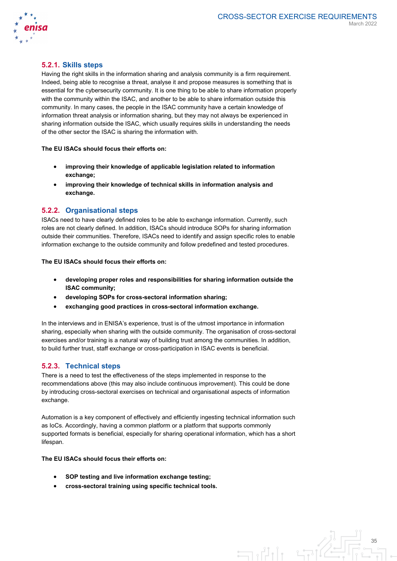

 $\equiv$ 

## **5.2.1. Skills steps**

Having the right skills in the information sharing and analysis community is a firm requirement. Indeed, being able to recognise a threat, analyse it and propose measures is something that is essential for the cybersecurity community. It is one thing to be able to share information properly with the community within the ISAC, and another to be able to share information outside this community. In many cases, the people in the ISAC community have a certain knowledge of information threat analysis or information sharing, but they may not always be experienced in sharing information outside the ISAC, which usually requires skills in understanding the needs of the other sector the ISAC is sharing the information with.

#### **The EU ISACs should focus their efforts on:**

- **improving their knowledge of applicable legislation related to information exchange;**
- **improving their knowledge of technical skills in information analysis and exchange.**

#### **5.2.2. Organisational steps**

ISACs need to have clearly defined roles to be able to exchange information. Currently, such roles are not clearly defined. In addition, ISACs should introduce SOPs for sharing information outside their communities. Therefore, ISACs need to identify and assign specific roles to enable information exchange to the outside community and follow predefined and tested procedures.

#### **The EU ISACs should focus their efforts on:**

- **developing proper roles and responsibilities for sharing information outside the ISAC community;**
- **developing SOPs for cross-sectoral information sharing;**
- **exchanging good practices in cross-sectoral information exchange.**

In the interviews and in ENISA's experience, trust is of the utmost importance in information sharing, especially when sharing with the outside community. The organisation of cross-sectoral exercises and/or training is a natural way of building trust among the communities. In addition, to build further trust, staff exchange or cross-participation in ISAC events is beneficial.

### **5.2.3. Technical steps**

There is a need to test the effectiveness of the steps implemented in response to the recommendations above (this may also include continuous improvement). This could be done by introducing cross-sectoral exercises on technical and organisational aspects of information exchange.

Automation is a key component of effectively and efficiently ingesting technical information such as IoCs. Accordingly, having a common platform or a platform that supports commonly supported formats is beneficial, especially for sharing operational information, which has a short lifespan.

#### **The EU ISACs should focus their efforts on:**

- **SOP testing and live information exchange testing;**
- **cross-sectoral training using specific technical tools.**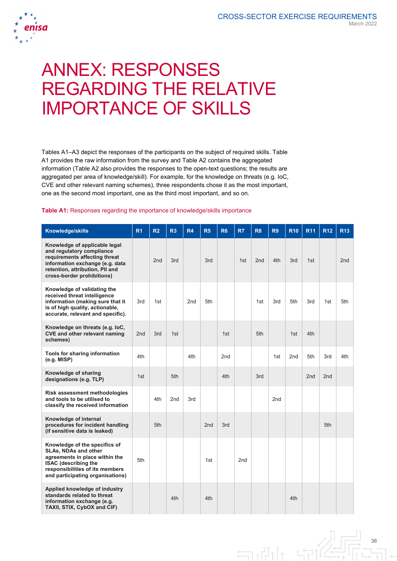

# ANNEX: RESPONSES REGARDING THE RELATIVE IMPORTANCE OF SKILLS

Tables A1–A3 depict the responses of the participants on the subject of required skills. Table A1 provides the raw information from the survey and Table A2 contains the aggregated information (Table A2 also provides the responses to the open-text questions; the results are aggregated per area of knowledge/skill). For example, for the knowledge on threats (e.g. IoC, CVE and other relevant naming schemes), three respondents chose it as the most important, one as the second most important, one as the third most important, and so on.

#### **Table A1:** Responses regarding the importance of knowledge/skills importance

| Knowledge/skills                                                                                                                                                                                | R <sub>1</sub>  | R <sub>2</sub> | R3  | R4              | R <sub>5</sub>  | R <sub>6</sub> | R <sub>7</sub>  | R <sub>8</sub>  | R <sub>9</sub> | <b>R10</b> | <b>R11</b> | <b>R12</b>      | <b>R13</b> |
|-------------------------------------------------------------------------------------------------------------------------------------------------------------------------------------------------|-----------------|----------------|-----|-----------------|-----------------|----------------|-----------------|-----------------|----------------|------------|------------|-----------------|------------|
| Knowledge of applicable legal<br>and regulatory compliance<br>requirements affecting threat<br>information exchange (e.g. data<br>retention, attribution, PII and<br>cross-border prohibitions) |                 | 2nd            | 3rd |                 | 3rd             |                | 1st             | 2 <sub>nd</sub> | 4th            | 3rd        | 1st        |                 | 2nd        |
| Knowledge of validating the<br>received threat intelligence<br>information (making sure that it<br>is of high quality, actionable,<br>accurate, relevant and specific).                         | 3rd             | 1st            |     | 2 <sub>nd</sub> | 5th             |                |                 | 1st             | 3rd            | 5th        | 3rd        | 1st             | 5th        |
| Knowledge on threats (e.g. loC,<br><b>CVE and other relevant naming</b><br>schemes)                                                                                                             | 2 <sub>nd</sub> | 3rd            | 1st |                 |                 | 1st            |                 | 5th             |                | 1st        | 4th        |                 |            |
| Tools for sharing information<br>(e.g. MISP)                                                                                                                                                    | 4th             |                |     | 4th             |                 | 2nd            |                 |                 | 1st            | 2nd        | 5th        | 3rd             | 4th        |
| Knowledge of sharing<br>designations (e.g. TLP)                                                                                                                                                 | 1st             |                | 5th |                 |                 | 4th            |                 | 3rd             |                |            | 2nd        | 2 <sub>nd</sub> |            |
| <b>Risk assessment methodologies</b><br>and tools to be utilised to<br>classify the received information                                                                                        |                 | 4th            | 2nd | 3rd             |                 |                |                 |                 | 2nd            |            |            |                 |            |
| Knowledge of internal<br>procedures for incident handling<br>(if sensitive data is leaked)                                                                                                      |                 | 5th            |     |                 | 2 <sub>nd</sub> | 3rd            |                 |                 |                |            |            | 5th             |            |
| Knowledge of the specifics of<br>SLAs, NDAs and other<br>agreements in place within the<br><b>ISAC</b> (describing the<br>responsibilities of its members<br>and participating organisations)   | 5th             |                |     |                 | 1st             |                | 2 <sub>nd</sub> |                 |                |            |            |                 |            |
| Applied knowledge of industry<br>standards related to threat<br>information exchange (e.g.<br>TAXII, STIX, CybOX and CIF)                                                                       |                 |                | 4th |                 | 4th             |                |                 |                 |                | 4th        |            |                 |            |

 $\exists$ 

36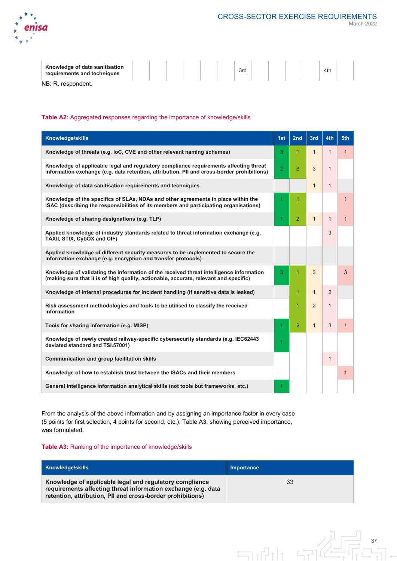

March 2022

37

| Knowledge of data sanitisation<br>requirements and techniques |  |  | 3rd |  | 4th |  |
|---------------------------------------------------------------|--|--|-----|--|-----|--|
| NB: R. respondent.                                            |  |  |     |  |     |  |

NB: R, respondent.

#### **Table A2:** Aggregated responses regarding the importance of knowledge/skills

| Knowledge/skills                                                                                                                                                                    | 1st            | 2nd            | 3rd            | 4th          | 5th          |
|-------------------------------------------------------------------------------------------------------------------------------------------------------------------------------------|----------------|----------------|----------------|--------------|--------------|
| Knowledge of threats (e.g. loC, CVE and other relevant naming schemes)                                                                                                              | 3              | $\overline{1}$ | $\mathbf{1}$   | $\mathbf{1}$ | $\mathbf{1}$ |
| Knowledge of applicable legal and regulatory compliance requirements affecting threat<br>information exchange (e.g. data retention, attribution, PII and cross-border prohibitions) | $\overline{2}$ | 3              | 3              | $\mathbf{1}$ |              |
| Knowledge of data sanitisation requirements and techniques                                                                                                                          |                |                | $\mathbf{1}$   | $\mathbf{1}$ |              |
| Knowledge of the specifics of SLAs, NDAs and other agreements in place within the<br>ISAC (describing the responsibilities of its members and participating organisations)          | 1              | 1              |                |              | 1            |
| Knowledge of sharing designations (e.g. TLP)                                                                                                                                        | 1              | $\overline{2}$ | $\mathbf{1}$   | $\mathbf{1}$ | 1            |
| Applied knowledge of industry standards related to threat information exchange (e.g.<br>TAXII, STIX, CybOX and CIF)                                                                 |                |                |                | 3            |              |
| Applied knowledge of different security measures to be implemented to secure the<br>information exchange (e.g. encryption and transfer protocols)                                   |                |                |                |              |              |
| Knowledge of validating the information of the received threat intelligence information<br>(making sure that it is of high quality, actionable, accurate, relevant and specific)    | 3              | 1              | 3              |              | 3            |
| Knowledge of internal procedures for incident handling (if sensitive data is leaked)                                                                                                |                | 1              | $\mathbf{1}$   | 2            |              |
| Risk assessment methodologies and tools to be utilised to classify the received<br>information                                                                                      |                | 1              | $\overline{2}$ | $\mathbf{1}$ |              |
| Tools for sharing information (e.g. MISP)                                                                                                                                           | 1              | $\overline{2}$ | $\mathbf{1}$   | 3            | $\mathbf{1}$ |
| Knowledge of newly created railway-specific cybersecurity standards (e.g. IEC62443<br>deviated standard and TSI.57001)                                                              | 1              |                |                |              |              |
| <b>Communication and group facilitation skills</b>                                                                                                                                  |                |                |                | $\mathbf{1}$ |              |
| Knowledge of how to establish trust between the ISACs and their members                                                                                                             |                |                |                |              | $\mathbf{1}$ |
| General intelligence information analytical skills (not tools but frameworks, etc.)                                                                                                 | 1              |                |                |              |              |

From the analysis of the above information and by assigning an importance factor in every case (5 points for first selection, 4 points for second, etc.), Table A3, showing perceived importance, was formulated.

#### **Table A3:** Ranking of the importance of knowledge/skills

| <b>Knowledge/skills</b>                                                                                                                                                                | Importance |
|----------------------------------------------------------------------------------------------------------------------------------------------------------------------------------------|------------|
| Knowledge of applicable legal and regulatory compliance<br>requirements affecting threat information exchange (e.g. data<br>retention, attribution, PII and cross-border prohibitions) | 33         |

 $\exists \mathbf{u}$ 

วาไ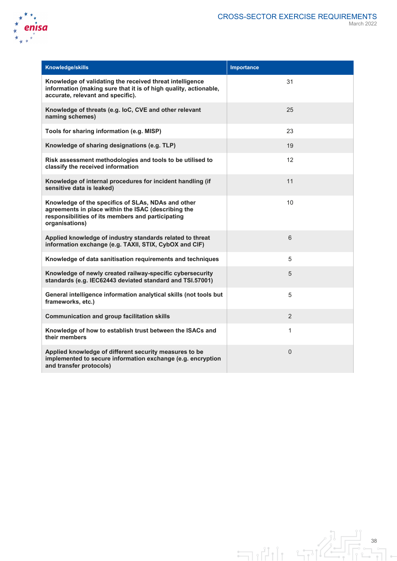

| <b>Knowledge/skills</b>                                                                                                                                                          | Importance   |
|----------------------------------------------------------------------------------------------------------------------------------------------------------------------------------|--------------|
| Knowledge of validating the received threat intelligence<br>information (making sure that it is of high quality, actionable,<br>accurate, relevant and specific).                | 31           |
| Knowledge of threats (e.g. loC, CVE and other relevant<br>naming schemes)                                                                                                        | 25           |
| Tools for sharing information (e.g. MISP)                                                                                                                                        | 23           |
| Knowledge of sharing designations (e.g. TLP)                                                                                                                                     | 19           |
| Risk assessment methodologies and tools to be utilised to<br>classify the received information                                                                                   | 12           |
| Knowledge of internal procedures for incident handling (if<br>sensitive data is leaked)                                                                                          | 11           |
| Knowledge of the specifics of SLAs, NDAs and other<br>agreements in place within the ISAC (describing the<br>responsibilities of its members and participating<br>organisations) | 10           |
| Applied knowledge of industry standards related to threat<br>information exchange (e.g. TAXII, STIX, CybOX and CIF)                                                              | 6            |
| Knowledge of data sanitisation requirements and techniques                                                                                                                       | 5            |
| Knowledge of newly created railway-specific cybersecurity<br>standards (e.g. IEC62443 deviated standard and TSI.57001)                                                           | 5            |
| General intelligence information analytical skills (not tools but<br>frameworks, etc.)                                                                                           | 5            |
| <b>Communication and group facilitation skills</b>                                                                                                                               | 2            |
| Knowledge of how to establish trust between the ISACs and<br>their members                                                                                                       | $\mathbf{1}$ |
| Applied knowledge of different security measures to be<br>implemented to secure information exchange (e.g. encryption<br>and transfer protocols)                                 | $\mathbf 0$  |